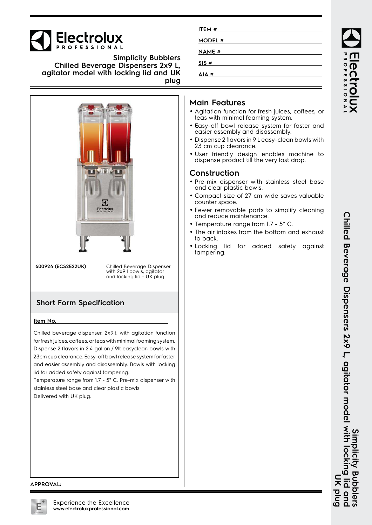# **Electrolux**

**Simplicity Bubblers Chilled Beverage Dispensers 2x9 L, agitator model with locking lid and UK plug**



**600924 (ECS2E22UK)** Chilled Beverage Dispenser with 2x9 l bowls, agitator and locking lid - UK plug

# **Short Form Specification**

#### **Item No.**

Chilled beverage dispenser, 2x9lt, with agitation function for fresh juices, coffees, or teas with minimal foaming system. Dispense 2 flavors in 2.4 gallon / 9lt easyclean bowls with 23cm cup clearance. Easy-off bowl release system for faster and easier assembly and disassembly. Bowls with locking lid for added safety against tampering.

Temperature range from 1.7 - 5° C. Pre-mix dispenser with stainless steel base and clear plastic bowls. Delivered with UK plug.

| ITEM#        |  |  |
|--------------|--|--|
| MODEL #      |  |  |
| <b>NAME#</b> |  |  |
| SIS#         |  |  |
| AIA#         |  |  |

## **Main Features**

- Agitation function for fresh juices, coffees, or teas with minimal foaming system.
- Easy-off bowl release system for faster and easier assembly and disassembly.
- • Dispense 2 flavors in 9 L easy-clean bowls with 23 cm cup clearance.
- User friendly design enables machine to dispense product till the very last drop.

### **Construction**

- Pre-mix dispenser with stainless steel base and clear plastic bowls.
- Compact size of 27 cm wide saves valuable counter space.
- Fewer removable parts to simplify cleaning and reduce maintenance.
- Temperature range from 1.7 5° C.
- The air intakes from the bottom and exhaust to back.
- Locking lid for added safety against tampering.

#### **APPROVAL:**